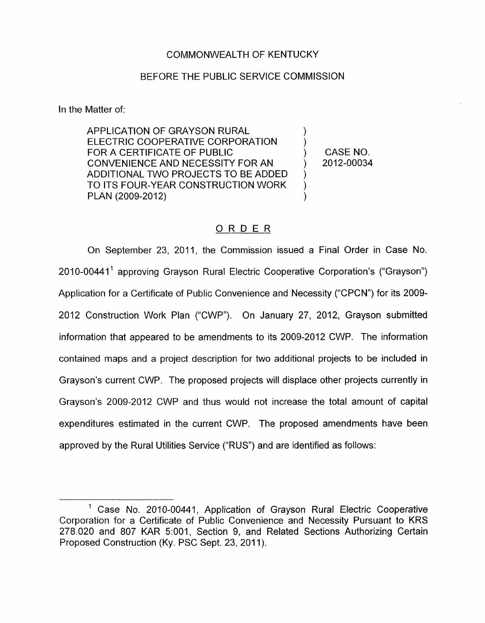## COMMONWEALTH OF KENTUCKY

## BEFORE THE PUBLIC SERVICE COMMISSION

In the Matter of:

APPLICATION OF GRAYSON RURAL<br>ELECTRIC COOPERATIVE CORPORATION FOR A CERTIFICATE OF PUBLIC  $(1, 0)$  CASE NO. CONVENIENCE AND NECESSITY FOR AN ) 2012-00034 ADDITIONAL TWO PROJECTS TO BE ADDED TO ITS FOUR-YEAR CONSTRUCTION WORK PLAN (2009-2012)

) )

## ORDER

On September 23, 2011, the Commission issued a Final Order in Case No. 2010-00441<sup>1</sup> approving Grayson Rural Electric Cooperative Corporation's ("Grayson") Application for a Certificate of Public Convenience and Necessity ("CPCN") for its 2009- 2012 Construction Work Plan ("CWP"). On January 27, 2012, Grayson submitted information that appeared to be amendments to its 2009-2012 CWP. The information contained maps and a project description for two additional projects to be included in Grayson's current CWP. The proposed projects will displace other projects currently in Grayson's 2009-2012 CWP and thus would not increase the total amount of capital expenditures estimated in the current CWP. The proposed amendments have been approved by the Rural Utilities Service ("RUS") and are identified as follows:

Case **No.** 2010-00441, Application of Grayson Rural Electric Cooperative Corporation for a Certificate of Public Convenience and Necessity Pursuant to KRS 278.020 and 807 KAR 5:001, Section 9, and Related Sections Authorizing Certain Proposed Construction (Ky. PSC Sept. 23, 2011).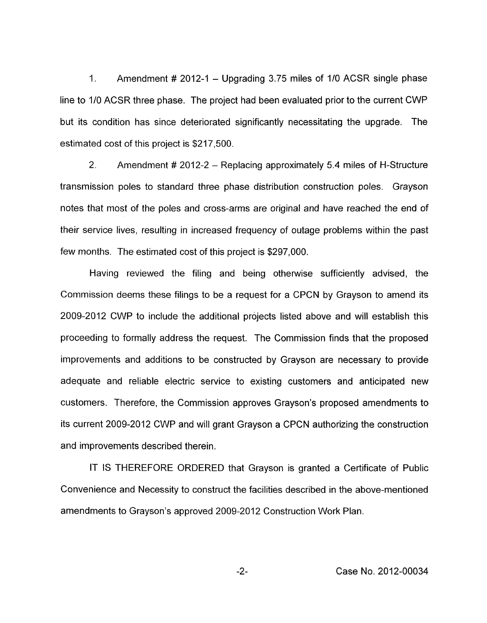1. Amendment # 2012-1 - Upgrading 3.75 miles of 1/0 ACSR single phase line to 1/0 ACSR three phase. The project had been evaluated prior to the current CWP but its condition has since deteriorated significantly necessitating the upgrade. The estimated cost of this project is \$217,500.

2. Amendment # 2012-2 - Replacing approximately 5.4 miles of H-Structure transmission poles to standard three phase distribution construction poles. Grayson notes that most of the poles and cross-arms are original and have reached the end of their service lives, resulting in increased frequency of outage problems within the past few months. The estimated cost of this project is \$297,000.

Having reviewed the filing and being otherwise sufficiently advised, the Commission deems these filings to be a request for a CPCN by Grayson to amend its 2009-2012 CWP to include the additional projects listed above and will establish this proceeding to formally address the request. The Commission finds that the proposed improvements and additions to be constructed by Grayson are necessary to provide adequate and reliable electric service to existing customers and anticipated new customers. Therefore, the Commission approves Grayson's proposed amendments to its current 2009-2012 CWP and will grant Grayson a CPCN authorizing the construction and improvements described therein.

IT IS THEREFORE ORDERED that Grayson is granted a Certificate of Public Convenience and Necessity to construct the facilities described in the above-mentioned amendments to Grayson's approved 2009-2012 Construction Work Plan.

-2- Case No. 2012-00034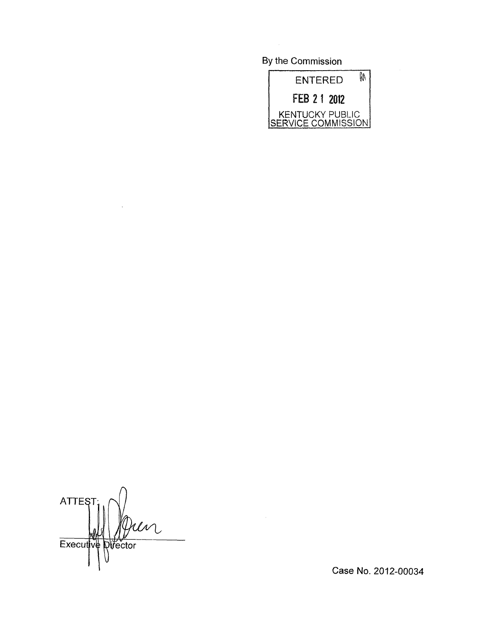By the Commission



 $\bigcap$ **ATTEST** Un Executive Director

 $\ddot{\phantom{1}}$ 

Case No. 2012-00034

 $\hat{\mathbf{v}}$